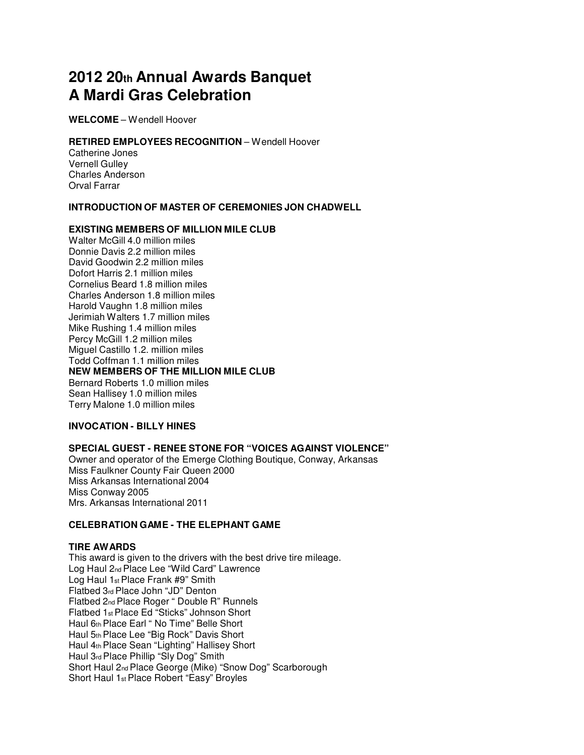# **2012 20th Annual Awards Banquet A Mardi Gras Celebration**

**WELCOME** – Wendell Hoover

## **RETIRED EMPLOYEES RECOGNITION - Wendell Hoover**

Catherine Jones Vernell Gulley Charles Anderson Orval Farrar

# **INTRODUCTION OF MASTER OF CEREMONIES JON CHADWELL**

## **EXISTING MEMBERS OF MILLION MILE CLUB**

Walter McGill 4.0 million miles Donnie Davis 2.2 million miles David Goodwin 2.2 million miles Dofort Harris 2.1 million miles Cornelius Beard 1.8 million miles Charles Anderson 1.8 million miles Harold Vaughn 1.8 million miles Jerimiah Walters 1.7 million miles Mike Rushing 1.4 million miles Percy McGill 1.2 million miles Miguel Castillo 1.2. million miles Todd Coffman 1.1 million miles **NEW MEMBERS OF THE MILLION MILE CLUB** Bernard Roberts 1.0 million miles Sean Hallisey 1.0 million miles Terry Malone 1.0 million miles

## **INVOCATION - BILLY HINES**

## **SPECIAL GUEST - RENEE STONE FOR "VOICES AGAINST VIOLENCE"**

Owner and operator of the Emerge Clothing Boutique, Conway, Arkansas Miss Faulkner County Fair Queen 2000 Miss Arkansas International 2004 Miss Conway 2005 Mrs. Arkansas International 2011

# **CELEBRATION GAME - THE ELEPHANT GAME**

## **TIRE AWARDS**

This award is given to the drivers with the best drive tire mileage. Log Haul 2nd Place Lee "Wild Card" Lawrence Log Haul 1st Place Frank #9" Smith Flatbed 3rd Place John "JD" Denton Flatbed 2nd Place Roger " Double R" Runnels Flatbed 1st Place Ed "Sticks" Johnson Short Haul 6th Place Earl " No Time" Belle Short Haul 5th Place Lee "Big Rock" Davis Short Haul 4th Place Sean "Lighting" Hallisey Short Haul 3rd Place Phillip "Sly Dog" Smith Short Haul 2nd Place George (Mike) "Snow Dog" Scarborough Short Haul 1st Place Robert "Easy" Broyles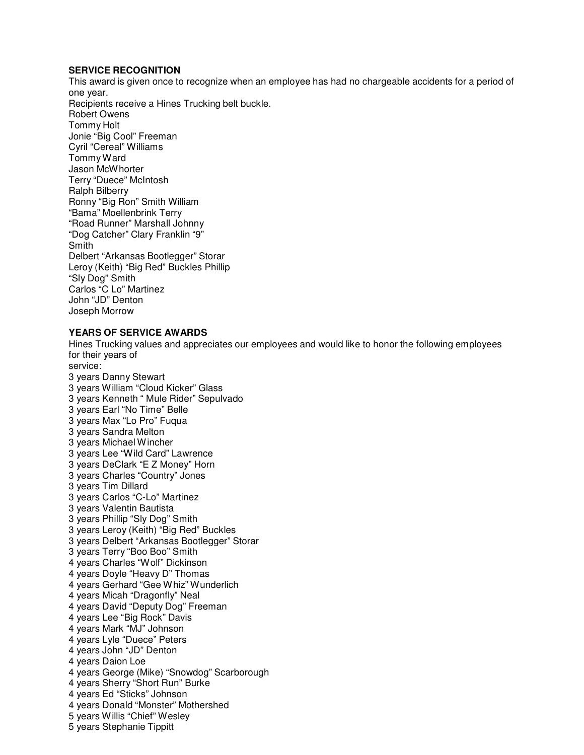# **SERVICE RECOGNITION**

This award is given once to recognize when an employee has had no chargeable accidents for a period of one year. Recipients receive a Hines Trucking belt buckle. Robert Owens Tommy Holt Jonie "Big Cool" Freeman Cyril "Cereal" Williams Tommy Ward Jason McWhorter Terry "Duece" McIntosh Ralph Bilberry Ronny "Big Ron" Smith William "Bama" Moellenbrink Terry "Road Runner" Marshall Johnny "Dog Catcher" Clary Franklin "9" **Smith** Delbert "Arkansas Bootlegger" Storar Leroy (Keith) "Big Red" Buckles Phillip "Sly Dog" Smith Carlos "C Lo" Martinez John "JD" Denton Joseph Morrow

# **YEARS OF SERVICE AWARDS**

Hines Trucking values and appreciates our employees and would like to honor the following employees for their years of service: 3 years Danny Stewart 3 years William "Cloud Kicker" Glass 3 years Kenneth " Mule Rider" Sepulvado 3 years Earl "No Time" Belle 3 years Max "Lo Pro" Fuqua 3 years Sandra Melton 3 years Michael Wincher 3 years Lee "Wild Card" Lawrence 3 years DeClark "E Z Money" Horn 3 years Charles "Country" Jones 3 years Tim Dillard 3 years Carlos "C-Lo" Martinez 3 years Valentin Bautista 3 years Phillip "Sly Dog" Smith 3 years Leroy (Keith) "Big Red" Buckles 3 years Delbert "Arkansas Bootlegger" Storar 3 years Terry "Boo Boo" Smith 4 years Charles "Wolf" Dickinson 4 years Doyle "Heavy D" Thomas 4 years Gerhard "Gee Whiz" Wunderlich 4 years Micah "Dragonfly" Neal 4 years David "Deputy Dog" Freeman 4 years Lee "Big Rock" Davis 4 years Mark "MJ" Johnson 4 years Lyle "Duece" Peters 4 years John "JD" Denton 4 years Daion Loe 4 years George (Mike) "Snowdog" Scarborough 4 years Sherry "Short Run" Burke 4 years Ed "Sticks" Johnson 4 years Donald "Monster" Mothershed 5 years Willis "Chief" Wesley 5 years Stephanie Tippitt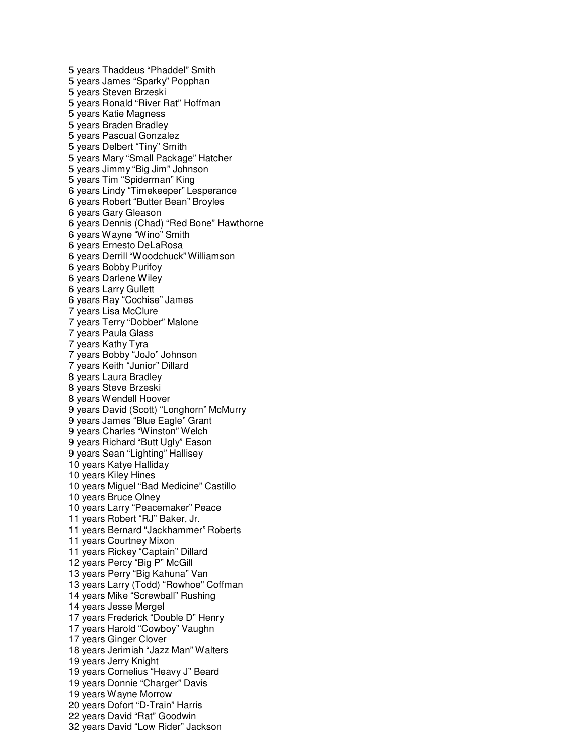5 years Thaddeus "Phaddel" Smith 5 years James "Sparky" Popphan 5 years Steven Brzeski 5 years Ronald "River Rat" Hoffman 5 years Katie Magness 5 years Braden Bradley 5 years Pascual Gonzalez 5 years Delbert "Tiny" Smith 5 years Mary "Small Package" Hatcher 5 years Jimmy "Big Jim" Johnson 5 years Tim "Spiderman" King 6 years Lindy "Timekeeper" Lesperance 6 years Robert "Butter Bean" Broyles 6 years Gary Gleason 6 years Dennis (Chad) "Red Bone" Hawthorne 6 years Wayne "Wino" Smith 6 years Ernesto DeLaRosa 6 years Derrill "Woodchuck" Williamson 6 years Bobby Purifoy 6 years Darlene Wiley 6 years Larry Gullett 6 years Ray "Cochise" James 7 years Lisa McClure 7 years Terry "Dobber" Malone 7 years Paula Glass 7 years Kathy Tyra 7 years Bobby "JoJo" Johnson 7 years Keith "Junior" Dillard 8 years Laura Bradley 8 years Steve Brzeski 8 years Wendell Hoover 9 years David (Scott) "Longhorn" McMurry 9 years James "Blue Eagle" Grant 9 years Charles "Winston" Welch 9 years Richard "Butt Ugly" Eason 9 years Sean "Lighting" Hallisey 10 years Katye Halliday 10 years Kiley Hines 10 years Miguel "Bad Medicine" Castillo 10 years Bruce Olney 10 years Larry "Peacemaker" Peace 11 years Robert "RJ" Baker, Jr. 11 years Bernard "Jackhammer" Roberts 11 years Courtney Mixon 11 years Rickey "Captain" Dillard 12 years Percy "Big P" McGill 13 years Perry "Big Kahuna" Van 13 years Larry (Todd) "Rowhoe" Coffman 14 years Mike "Screwball" Rushing 14 years Jesse Mergel 17 years Frederick "Double D" Henry 17 years Harold "Cowboy" Vaughn 17 years Ginger Clover 18 years Jerimiah "Jazz Man" Walters 19 years Jerry Knight 19 years Cornelius "Heavy J" Beard 19 years Donnie "Charger" Davis 19 years Wayne Morrow 20 years Dofort "D-Train" Harris 22 years David "Rat" Goodwin 32 years David "Low Rider" Jackson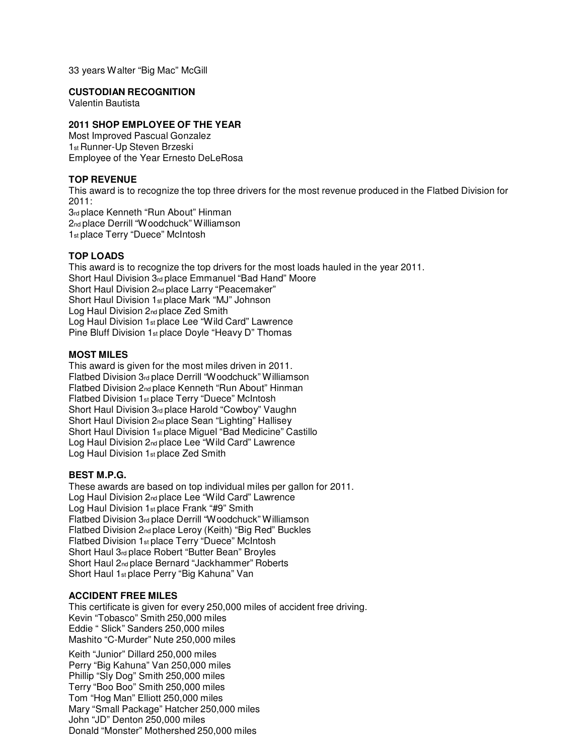33 years Walter "Big Mac" McGill

## **CUSTODIAN RECOGNITION**

Valentin Bautista

# **2011 SHOP EMPLOYEE OF THE YEAR**

Most Improved Pascual Gonzalez 1st Runner-Up Steven Brzeski Employee of the Year Ernesto DeLeRosa

# **TOP REVENUE**

This award is to recognize the top three drivers for the most revenue produced in the Flatbed Division for 2011:

3rd place Kenneth "Run About" Hinman 2nd place Derrill "Woodchuck" Williamson 1st place Terry "Duece" McIntosh

# **TOP LOADS**

This award is to recognize the top drivers for the most loads hauled in the year 2011. Short Haul Division 3rd place Emmanuel "Bad Hand" Moore Short Haul Division 2nd place Larry "Peacemaker" Short Haul Division 1st place Mark "MJ" Johnson Log Haul Division 2nd place Zed Smith Log Haul Division 1st place Lee "Wild Card" Lawrence Pine Bluff Division 1st place Doyle "Heavy D" Thomas

# **MOST MILES**

This award is given for the most miles driven in 2011. Flatbed Division 3rd place Derrill "Woodchuck" Williamson Flatbed Division 2nd place Kenneth "Run About" Hinman Flatbed Division 1st place Terry "Duece" McIntosh Short Haul Division 3rd place Harold "Cowboy" Vaughn Short Haul Division 2nd place Sean "Lighting" Hallisey Short Haul Division 1st place Miguel "Bad Medicine" Castillo Log Haul Division 2nd place Lee "Wild Card" Lawrence Log Haul Division 1st place Zed Smith

## **BEST M.P.G.**

These awards are based on top individual miles per gallon for 2011. Log Haul Division 2nd place Lee "Wild Card" Lawrence Log Haul Division 1st place Frank "#9" Smith Flatbed Division 3rd place Derrill "Woodchuck" Williamson Flatbed Division 2nd place Leroy (Keith) "Big Red" Buckles Flatbed Division 1st place Terry "Duece" McIntosh Short Haul 3rd place Robert "Butter Bean" Broyles Short Haul 2nd place Bernard "Jackhammer" Roberts Short Haul 1st place Perry "Big Kahuna" Van

## **ACCIDENT FREE MILES**

This certificate is given for every 250,000 miles of accident free driving. Kevin "Tobasco" Smith 250,000 miles Eddie " Slick" Sanders 250,000 miles Mashito "C-Murder" Nute 250,000 miles

Keith "Junior" Dillard 250,000 miles Perry "Big Kahuna" Van 250,000 miles Phillip "Sly Dog" Smith 250,000 miles Terry "Boo Boo" Smith 250,000 miles Tom "Hog Man" Elliott 250,000 miles Mary "Small Package" Hatcher 250,000 miles John "JD" Denton 250,000 miles Donald "Monster" Mothershed 250,000 miles